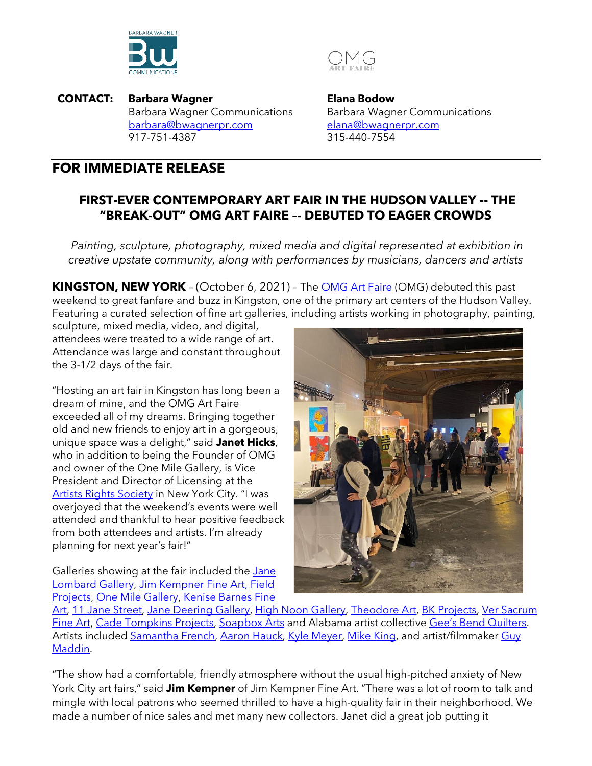



**CONTACT: Barbara Wagner** Barbara Wagner Communications [barbara@bwagnerpr.com](https://www.thekylemeyer.com/) 917-751-4387

**Elana Bodow** Barbara Wagner Communications [elana@bwagnerpr.com](mailto:elana@bwagnerpr.com) 315-440-7554

## **FOR IMMEDIATE RELEASE**

## **FIRST-EVER CONTEMPORARY ART FAIR IN THE HUDSON VALLEY -- THE "BREAK-OUT" OMG ART FAIRE –- DEBUTED TO EAGER CROWDS**

*Painting, sculpture, photography, mixed media and digital represented at exhibition in creative upstate community, along with performances by musicians, dancers and artists*

**KINGSTON, NEW YORK** – (October 6, 2021) – The [OMG Art Faire](https://omgartfaire.com/) (OMG) debuted this past weekend to great fanfare and buzz in Kingston, one of the primary art centers of the Hudson Valley. Featuring a curated selection of fine art galleries, including artists working in photography, painting,

sculpture, mixed media, video, and digital, attendees were treated to a wide range of art. Attendance was large and constant throughout the 3-1/2 days of the fair.

"Hosting an art fair in Kingston has long been a dream of mine, and the OMG Art Faire exceeded all of my dreams. Bringing together old and new friends to enjoy art in a gorgeous, unique space was a delight," said **Janet Hicks**, who in addition to being the Founder of OMG and owner of the One Mile Gallery, is Vice President and Director of Licensing at the [Artists Rights Society](https://arsny.com/) in New York City. "I was overjoyed that the weekend's events were well attended and thankful to hear positive feedback from both attendees and artists. I'm already planning for next year's fair!"

Galleries showing at the fair included the *Jane* [Lombard Gallery,](https://www.janelombardgallery.com/) [Jim Kempner Fine Art,](https://www.jimkempnerfineart.com/) [Field](http://www.fieldprojectsgallery.com/)  [Projects,](http://www.fieldprojectsgallery.com/) [One Mile Gallery,](http://onemilegallery.com/) [Kenise Barnes Fine](https://www.kbfa.com/) 



[Art,](https://www.kbfa.com/) [11 Jane Street,](https://www.11janestreet.com/) [Jane Deering Gallery,](https://janedeeringgallery.com/) [High Noon Gallery,](https://www.highnoongallery.com/) [Theodore Art,](https://www.theodoreart.com/) [BK Projects,](https://bkartprojects.com/) Ver Sacrum [Fine Art,](https://versacrumfineart.com/) [Cade Tompkins Projects,](https://www.cadetompkinsprojects.com/) [Soapbox Arts](https://www.soapboxarts.com/) and Alabama artist collective [Gee's Bend Quilters](https://en.wikipedia.org/wiki/Quilts_of_Gee%27s_Bend). Artists included [Samantha French,](https://www.samanthafrench.com/) [Aaron Hauck,](https://aaron-hauck.squarespace.com/) [Kyle Meyer,](https://www.thekylemeyer.com/) [Mike King,](https://www.crashamerica.com/) and artist/filmmaker Guy [Maddin.](https://guy-maddin.com/)

"The show had a comfortable, friendly atmosphere without the usual high-pitched anxiety of New York City art fairs," said **Jim Kempner** of Jim Kempner Fine Art. "There was a lot of room to talk and mingle with local patrons who seemed thrilled to have a high-quality fair in their neighborhood. We made a number of nice sales and met many new collectors. Janet did a great job putting it